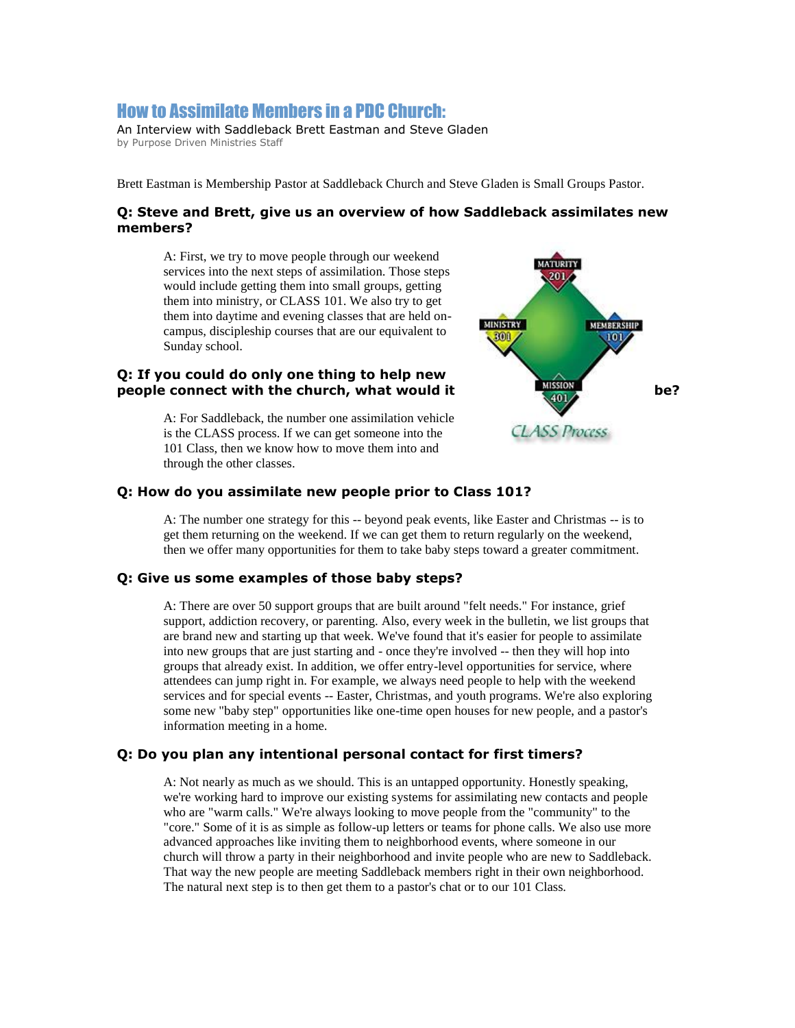# How to Assimilate Members in a PDC Church:

An Interview with Saddleback Brett Eastman and Steve Gladen by Purpose Driven Ministries Staff

Brett Eastman is Membership Pastor at Saddleback Church and Steve Gladen is Small Groups Pastor.

#### **Q: Steve and Brett, give us an overview of how Saddleback assimilates new members?**

A: First, we try to move people through our weekend services into the next steps of assimilation. Those steps would include getting them into small groups, getting them into ministry, or CLASS 101. We also try to get them into daytime and evening classes that are held oncampus, discipleship courses that are our equivalent to Sunday school.

# **Q: If you could do only one thing to help new people connect with the church, what would it was a set on the church of the church what would it** be?

A: For Saddleback, the number one assimilation vehicle is the CLASS process. If we can get someone into the 101 Class, then we know how to move them into and through the other classes.



## **Q: How do you assimilate new people prior to Class 101?**

A: The number one strategy for this -- beyond peak events, like Easter and Christmas -- is to get them returning on the weekend. If we can get them to return regularly on the weekend, then we offer many opportunities for them to take baby steps toward a greater commitment.

## **Q: Give us some examples of those baby steps?**

A: There are over 50 support groups that are built around "felt needs." For instance, grief support, addiction recovery, or parenting. Also, every week in the bulletin, we list groups that are brand new and starting up that week. We've found that it's easier for people to assimilate into new groups that are just starting and - once they're involved -- then they will hop into groups that already exist. In addition, we offer entry-level opportunities for service, where attendees can jump right in. For example, we always need people to help with the weekend services and for special events -- Easter, Christmas, and youth programs. We're also exploring some new "baby step" opportunities like one-time open houses for new people, and a pastor's information meeting in a home.

#### **Q: Do you plan any intentional personal contact for first timers?**

A: Not nearly as much as we should. This is an untapped opportunity. Honestly speaking, we're working hard to improve our existing systems for assimilating new contacts and people who are "warm calls." We're always looking to move people from the "community" to the "core." Some of it is as simple as follow-up letters or teams for phone calls. We also use more advanced approaches like inviting them to neighborhood events, where someone in our church will throw a party in their neighborhood and invite people who are new to Saddleback. That way the new people are meeting Saddleback members right in their own neighborhood. The natural next step is to then get them to a pastor's chat or to our 101 Class.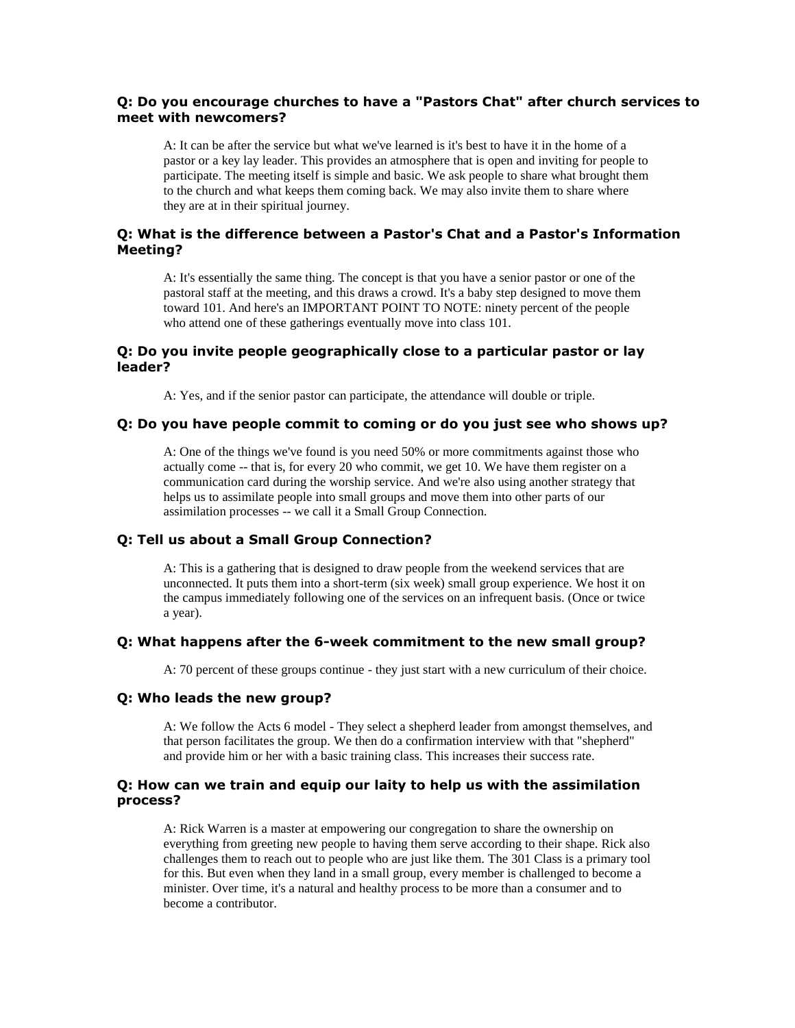# **Q: Do you encourage churches to have a "Pastors Chat" after church services to meet with newcomers?**

A: It can be after the service but what we've learned is it's best to have it in the home of a pastor or a key lay leader. This provides an atmosphere that is open and inviting for people to participate. The meeting itself is simple and basic. We ask people to share what brought them to the church and what keeps them coming back. We may also invite them to share where they are at in their spiritual journey.

# **Q: What is the difference between a Pastor's Chat and a Pastor's Information Meeting?**

A: It's essentially the same thing. The concept is that you have a senior pastor or one of the pastoral staff at the meeting, and this draws a crowd. It's a baby step designed to move them toward 101. And here's an IMPORTANT POINT TO NOTE: ninety percent of the people who attend one of these gatherings eventually move into class 101.

## **Q: Do you invite people geographically close to a particular pastor or lay leader?**

A: Yes, and if the senior pastor can participate, the attendance will double or triple.

#### **Q: Do you have people commit to coming or do you just see who shows up?**

A: One of the things we've found is you need 50% or more commitments against those who actually come -- that is, for every 20 who commit, we get 10. We have them register on a communication card during the worship service. And we're also using another strategy that helps us to assimilate people into small groups and move them into other parts of our assimilation processes -- we call it a Small Group Connection.

#### **Q: Tell us about a Small Group Connection?**

A: This is a gathering that is designed to draw people from the weekend services that are unconnected. It puts them into a short-term (six week) small group experience. We host it on the campus immediately following one of the services on an infrequent basis. (Once or twice a year).

## **Q: What happens after the 6-week commitment to the new small group?**

A: 70 percent of these groups continue - they just start with a new curriculum of their choice.

#### **Q: Who leads the new group?**

A: We follow the Acts 6 model - They select a shepherd leader from amongst themselves, and that person facilitates the group. We then do a confirmation interview with that "shepherd" and provide him or her with a basic training class. This increases their success rate.

#### **Q: How can we train and equip our laity to help us with the assimilation process?**

A: Rick Warren is a master at empowering our congregation to share the ownership on everything from greeting new people to having them serve according to their shape. Rick also challenges them to reach out to people who are just like them. The 301 Class is a primary tool for this. But even when they land in a small group, every member is challenged to become a minister. Over time, it's a natural and healthy process to be more than a consumer and to become a contributor.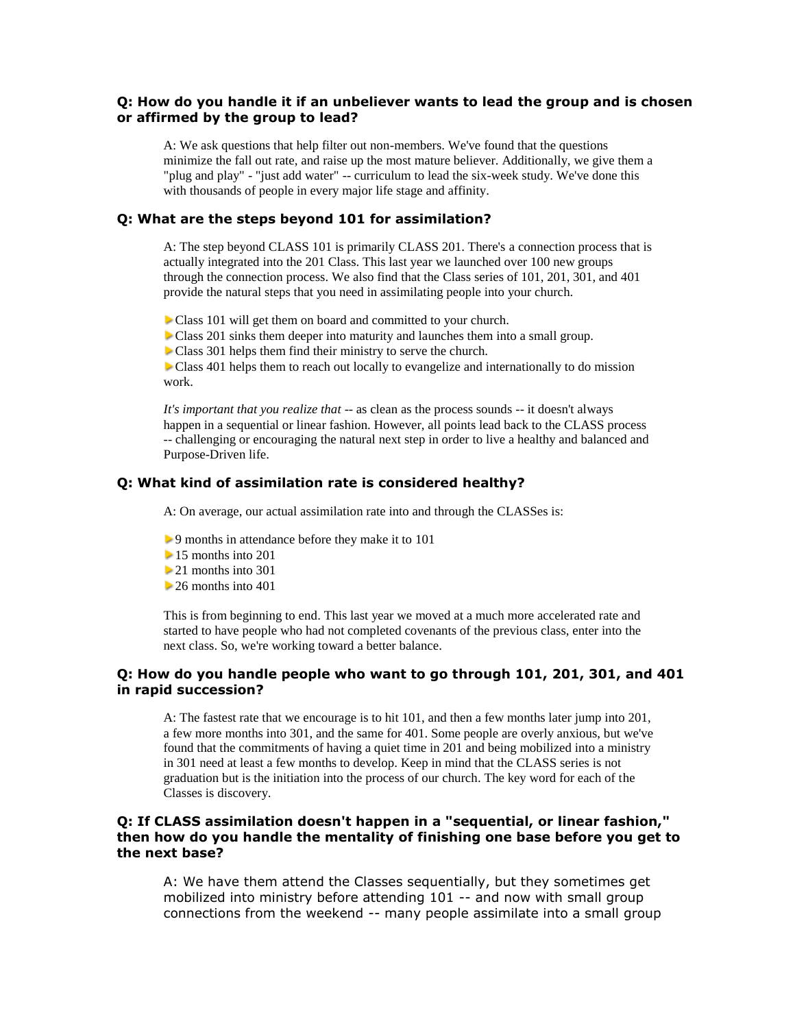# **Q: How do you handle it if an unbeliever wants to lead the group and is chosen or affirmed by the group to lead?**

A: We ask questions that help filter out non-members. We've found that the questions minimize the fall out rate, and raise up the most mature believer. Additionally, we give them a "plug and play" - "just add water" -- curriculum to lead the six-week study. We've done this with thousands of people in every major life stage and affinity.

#### **Q: What are the steps beyond 101 for assimilation?**

A: The step beyond CLASS 101 is primarily CLASS 201. There's a connection process that is actually integrated into the 201 Class. This last year we launched over 100 new groups through the connection process. We also find that the Class series of 101, 201, 301, and 401 provide the natural steps that you need in assimilating people into your church.

Class 101 will get them on board and committed to your church.

Class 201 sinks them deeper into maturity and launches them into a small group.

Class 301 helps them find their ministry to serve the church.

**Class 401 helps them to reach out locally to evangelize and internationally to do mission** work.

*It's important that you realize that* -- as clean as the process sounds -- it doesn't always happen in a sequential or linear fashion. However, all points lead back to the CLASS process -- challenging or encouraging the natural next step in order to live a healthy and balanced and Purpose-Driven life.

#### **Q: What kind of assimilation rate is considered healthy?**

A: On average, our actual assimilation rate into and through the CLASSes is:

- 9 months in attendance before they make it to 101
- 15 months into 201
- 21 months into 301
- $\geq$  26 months into 401

This is from beginning to end. This last year we moved at a much more accelerated rate and started to have people who had not completed covenants of the previous class, enter into the next class. So, we're working toward a better balance.

# **Q: How do you handle people who want to go through 101, 201, 301, and 401 in rapid succession?**

A: The fastest rate that we encourage is to hit 101, and then a few months later jump into 201, a few more months into 301, and the same for 401. Some people are overly anxious, but we've found that the commitments of having a quiet time in 201 and being mobilized into a ministry in 301 need at least a few months to develop. Keep in mind that the CLASS series is not graduation but is the initiation into the process of our church. The key word for each of the Classes is discovery.

## **Q: If CLASS assimilation doesn't happen in a "sequential, or linear fashion," then how do you handle the mentality of finishing one base before you get to the next base?**

A: We have them attend the Classes sequentially, but they sometimes get mobilized into ministry before attending 101 -- and now with small group connections from the weekend -- many people assimilate into a small group